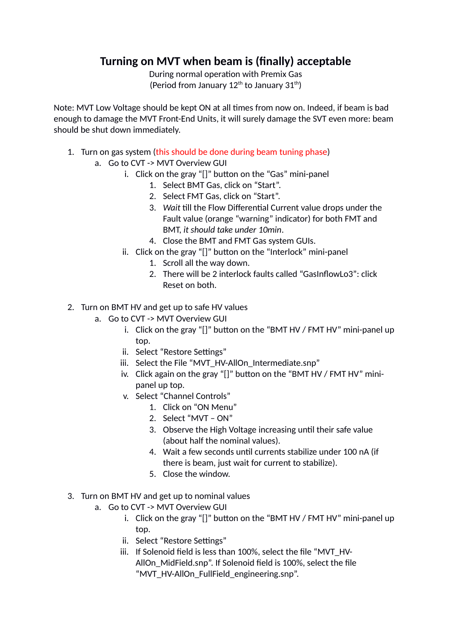## **Turning on MVT when beam is (finally) acceptable**

During normal operation with Premix Gas (Period from January  $12^{th}$  to January  $31^{th}$ )

Note: MVT Low Voltage should be kept ON at all times from now on. Indeed, if beam is bad enough to damage the MVT Front-End Units, it will surely damage the SVT even more: beam should be shut down immediately.

- 1. Turn on gas system (this should be done during beam tuning phase)
	- a. Go to CVT -> MVT Overview GUI
		- i. Click on the gray "[]" button on the "Gas" mini-panel
			- 1. Select BMT Gas, click on "Start".
			- 2. Select FMT Gas, click on "Start".
			- 3. *Wait* till the Flow Differential Current value drops under the Fault value (orange "warning" indicator) for both FMT and BMT, *it should take under 10min*.
			- 4. Close the BMT and FMT Gas system GUIs.
		- ii. Click on the gray "[]" button on the "Interlock" mini-panel
			- 1. Scroll all the way down.
				- 2. There will be 2 interlock faults called "GasInflowLo3": click Reset on both.
- 2. Turn on BMT HV and get up to safe HV values
	- a. Go to CVT -> MVT Overview GUI
		- i. Click on the gray "[]" button on the "BMT HV / FMT HV" mini-panel up top.
		- ii. Select "Restore Settings"
		- iii. Select the File "MVT\_HV-AllOn\_Intermediate.snp"
		- iv. Click again on the gray "[]" button on the "BMT HV / FMT HV" minipanel up top.
		- v. Select "Channel Controls"
			- 1. Click on "ON Menu"
			- 2. Select "MVT ON"
			- 3. Observe the High Voltage increasing until their safe value (about half the nominal values).
			- 4. Wait a few seconds until currents stabilize under 100 nA (if there is beam, just wait for current to stabilize).
			- 5. Close the window.
- 3. Turn on BMT HV and get up to nominal values
	- a. Go to CVT -> MVT Overview GUI
		- i. Click on the gray "[]" button on the "BMT HV / FMT HV" mini-panel up top.
		- ii. Select "Restore Settings"
		- iii. If Solenoid field is less than 100%, select the file "MVT\_HV-AllOn\_MidField.snp". If Solenoid field is 100%, select the file "MVT\_HV-AllOn\_FullField\_engineering.snp".